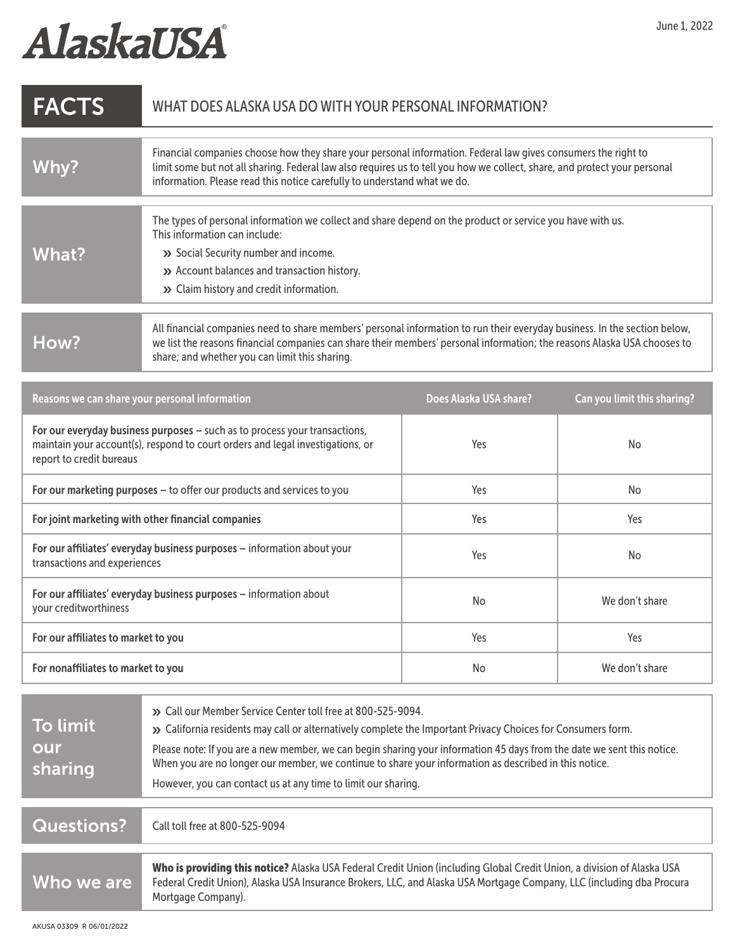## AlaskaUSA

| <b>FACTS</b>                                                                                                                                                                             | WHAT DOES ALASKA USA DO WITH YOUR PERSONAL INFORMATION?                                                                                                                                                                                                                                                                                                                                                                                                                         |                        |                             |
|------------------------------------------------------------------------------------------------------------------------------------------------------------------------------------------|---------------------------------------------------------------------------------------------------------------------------------------------------------------------------------------------------------------------------------------------------------------------------------------------------------------------------------------------------------------------------------------------------------------------------------------------------------------------------------|------------------------|-----------------------------|
| <b>Why?</b>                                                                                                                                                                              | Financial companies choose how they share your personal information. Federal law gives consumers the right to<br>limit some but not all sharing. Federal law also requires us to tell you how we collect, share, and protect your personal<br>information. Please read this notice carefully to understand what we do.                                                                                                                                                          |                        |                             |
| <b>What?</b>                                                                                                                                                                             | The types of personal information we collect and share depend on the product or service you have with us.<br>This information can include:<br>>> Social Security number and income.<br>>> Account balances and transaction history.<br>>> Claim history and credit information.                                                                                                                                                                                                 |                        |                             |
| How?                                                                                                                                                                                     | All financial companies need to share members' personal information to run their everyday business. In the section below,<br>we list the reasons financial companies can share their members' personal information; the reasons Alaska USA chooses to<br>share; and whether you can limit this sharing.                                                                                                                                                                         |                        |                             |
| Reasons we can share your personal information                                                                                                                                           |                                                                                                                                                                                                                                                                                                                                                                                                                                                                                 | Does Alaska USA share? | Can you limit this sharing? |
| For our everyday business purposes - such as to process your transactions,<br>maintain your account(s), respond to court orders and legal investigations, or<br>report to credit bureaus |                                                                                                                                                                                                                                                                                                                                                                                                                                                                                 | Yes                    | No                          |
| For our marketing purposes - to offer our products and services to you                                                                                                                   |                                                                                                                                                                                                                                                                                                                                                                                                                                                                                 | Yes                    | No                          |
| For joint marketing with other financial companies                                                                                                                                       |                                                                                                                                                                                                                                                                                                                                                                                                                                                                                 | Yes                    | Yes                         |
| For our affiliates' everyday business purposes - information about your<br>transactions and experiences                                                                                  |                                                                                                                                                                                                                                                                                                                                                                                                                                                                                 | Yes                    | No                          |
| For our affiliates' everyday business purposes - information about<br>your creditworthiness                                                                                              |                                                                                                                                                                                                                                                                                                                                                                                                                                                                                 | No                     | We don't share              |
| For our affiliates to market to you                                                                                                                                                      |                                                                                                                                                                                                                                                                                                                                                                                                                                                                                 | Yes                    | Yes                         |
| For nonaffiliates to market to you                                                                                                                                                       |                                                                                                                                                                                                                                                                                                                                                                                                                                                                                 | <b>No</b>              | We don't share              |
| To limit<br>our<br>sharing                                                                                                                                                               | >> Call our Member Service Center toll free at 800-525-9094.<br>» California residents may call or alternatively complete the Important Privacy Choices for Consumers form.<br>Please note: If you are a new member, we can begin sharing your information 45 days from the date we sent this notice.<br>When you are no longer our member, we continue to share your information as described in this notice.<br>However, you can contact us at any time to limit our sharing. |                        |                             |
| <b>Questions?</b>                                                                                                                                                                        | Call toll free at 800-525-9094                                                                                                                                                                                                                                                                                                                                                                                                                                                  |                        |                             |
| Who we are                                                                                                                                                                               | Who is providing this notice? Alaska USA Federal Credit Union (including Global Credit Union, a division of Alaska USA<br>Federal Credit Union), Alaska USA Insurance Brokers, LLC, and Alaska USA Mortgage Company, LLC (including dba Procura<br>Mortgage Company).                                                                                                                                                                                                           |                        |                             |
| AKUSA 03309 R 06/01/2022                                                                                                                                                                 |                                                                                                                                                                                                                                                                                                                                                                                                                                                                                 |                        |                             |